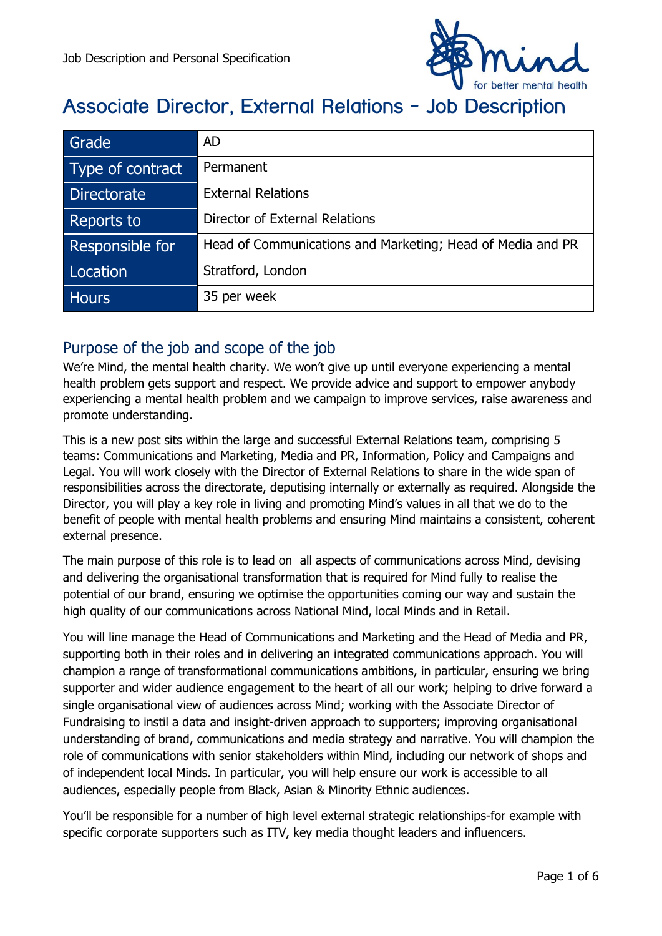

# **Associate Director, External Relations - Job Description**

| Grade            | <b>AD</b>                                                  |
|------------------|------------------------------------------------------------|
| Type of contract | Permanent                                                  |
| Directorate      | <b>External Relations</b>                                  |
| Reports to       | Director of External Relations                             |
| Responsible for  | Head of Communications and Marketing; Head of Media and PR |
| Location         | Stratford, London                                          |
| <b>Hours</b>     | 35 per week                                                |

## Purpose of the job and scope of the job

We're Mind, the mental health charity. We won't give up until everyone experiencing a mental health problem gets support and respect. We provide advice and support to empower anybody experiencing a mental health problem and we campaign to improve services, raise awareness and promote understanding.

This is a new post sits within the large and successful External Relations team, comprising 5 teams: Communications and Marketing, Media and PR, Information, Policy and Campaigns and Legal. You will work closely with the Director of External Relations to share in the wide span of responsibilities across the directorate, deputising internally or externally as required. Alongside the Director, you will play a key role in living and promoting Mind's values in all that we do to the benefit of people with mental health problems and ensuring Mind maintains a consistent, coherent external presence.

The main purpose of this role is to lead on all aspects of communications across Mind, devising and delivering the organisational transformation that is required for Mind fully to realise the potential of our brand, ensuring we optimise the opportunities coming our way and sustain the high quality of our communications across National Mind, local Minds and in Retail.

You will line manage the Head of Communications and Marketing and the Head of Media and PR, supporting both in their roles and in delivering an integrated communications approach. You will champion a range of transformational communications ambitions, in particular, ensuring we bring supporter and wider audience engagement to the heart of all our work; helping to drive forward a single organisational view of audiences across Mind; working with the Associate Director of Fundraising to instil a data and insight-driven approach to supporters; improving organisational understanding of brand, communications and media strategy and narrative. You will champion the role of communications with senior stakeholders within Mind, including our network of shops and of independent local Minds. In particular, you will help ensure our work is accessible to all audiences, especially people from Black, Asian & Minority Ethnic audiences.

You'll be responsible for a number of high level external strategic relationships-for example with specific corporate supporters such as ITV, key media thought leaders and influencers.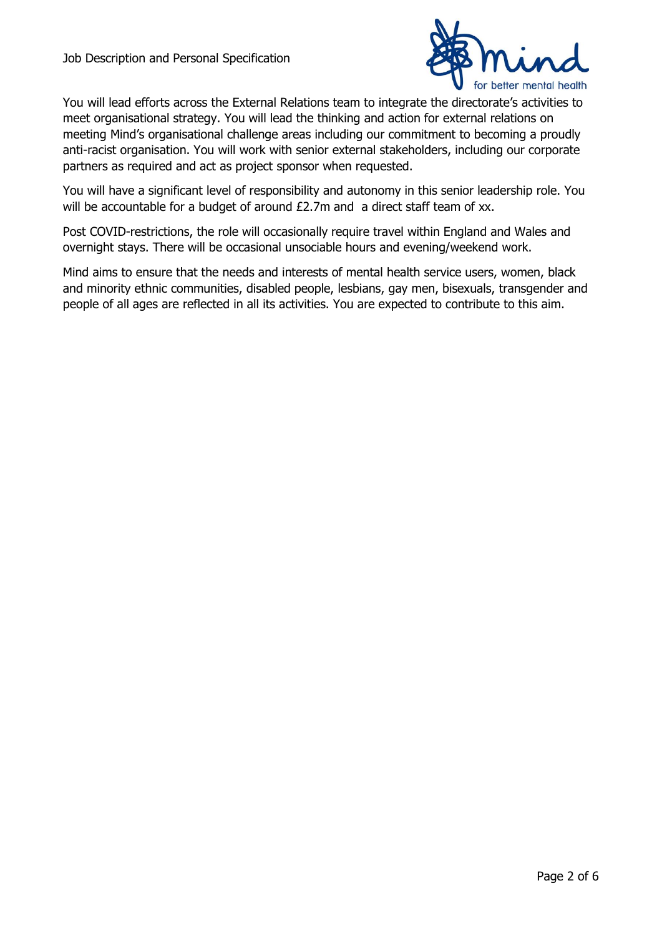

You will lead efforts across the External Relations team to integrate the directorate's activities to meet organisational strategy. You will lead the thinking and action for external relations on meeting Mind's organisational challenge areas including our commitment to becoming a proudly anti-racist organisation. You will work with senior external stakeholders, including our corporate partners as required and act as project sponsor when requested.

You will have a significant level of responsibility and autonomy in this senior leadership role. You will be accountable for a budget of around £2.7m and a direct staff team of xx.

Post COVID-restrictions, the role will occasionally require travel within England and Wales and overnight stays. There will be occasional unsociable hours and evening/weekend work.

Mind aims to ensure that the needs and interests of mental health service users, women, black and minority ethnic communities, disabled people, lesbians, gay men, bisexuals, transgender and people of all ages are reflected in all its activities. You are expected to contribute to this aim.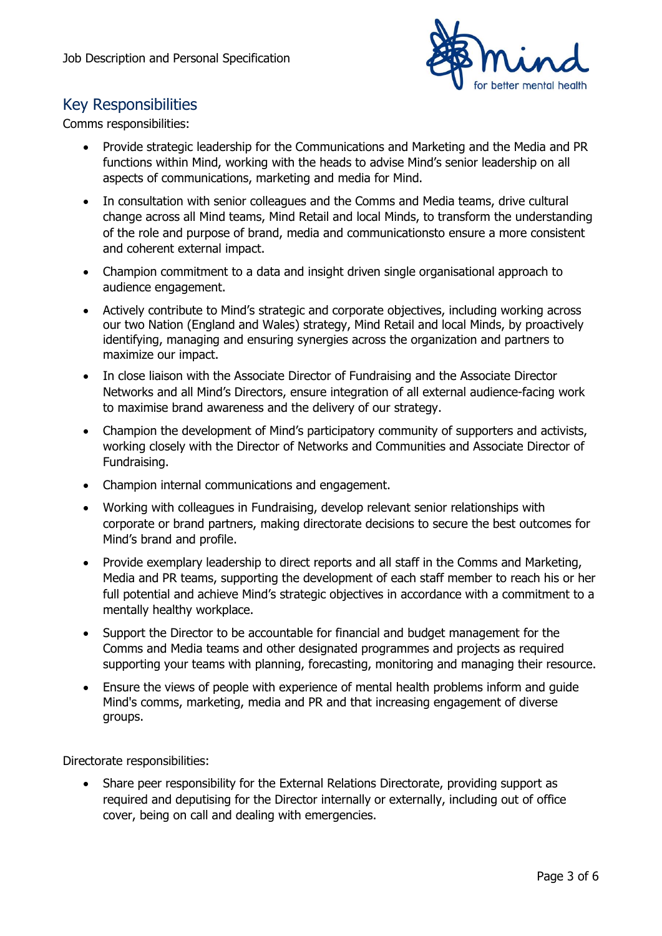

# Key Responsibilities

Comms responsibilities:

- Provide strategic leadership for the Communications and Marketing and the Media and PR functions within Mind, working with the heads to advise Mind's senior leadership on all aspects of communications, marketing and media for Mind.
- In consultation with senior colleagues and the Comms and Media teams, drive cultural change across all Mind teams, Mind Retail and local Minds, to transform the understanding of the role and purpose of brand, media and communicationsto ensure a more consistent and coherent external impact.
- Champion commitment to a data and insight driven single organisational approach to audience engagement.
- Actively contribute to Mind's strategic and corporate objectives, including working across our two Nation (England and Wales) strategy, Mind Retail and local Minds, by proactively identifying, managing and ensuring synergies across the organization and partners to maximize our impact.
- In close liaison with the Associate Director of Fundraising and the Associate Director Networks and all Mind's Directors, ensure integration of all external audience-facing work to maximise brand awareness and the delivery of our strategy.
- Champion the development of Mind's participatory community of supporters and activists, working closely with the Director of Networks and Communities and Associate Director of Fundraising.
- Champion internal communications and engagement.
- Working with colleagues in Fundraising, develop relevant senior relationships with corporate or brand partners, making directorate decisions to secure the best outcomes for Mind's brand and profile.
- Provide exemplary leadership to direct reports and all staff in the Comms and Marketing, Media and PR teams, supporting the development of each staff member to reach his or her full potential and achieve Mind's strategic objectives in accordance with a commitment to a mentally healthy workplace.
- Support the Director to be accountable for financial and budget management for the Comms and Media teams and other designated programmes and projects as required supporting your teams with planning, forecasting, monitoring and managing their resource.
- Ensure the views of people with experience of mental health problems inform and guide Mind's comms, marketing, media and PR and that increasing engagement of diverse groups.

Directorate responsibilities:

 Share peer responsibility for the External Relations Directorate, providing support as required and deputising for the Director internally or externally, including out of office cover, being on call and dealing with emergencies.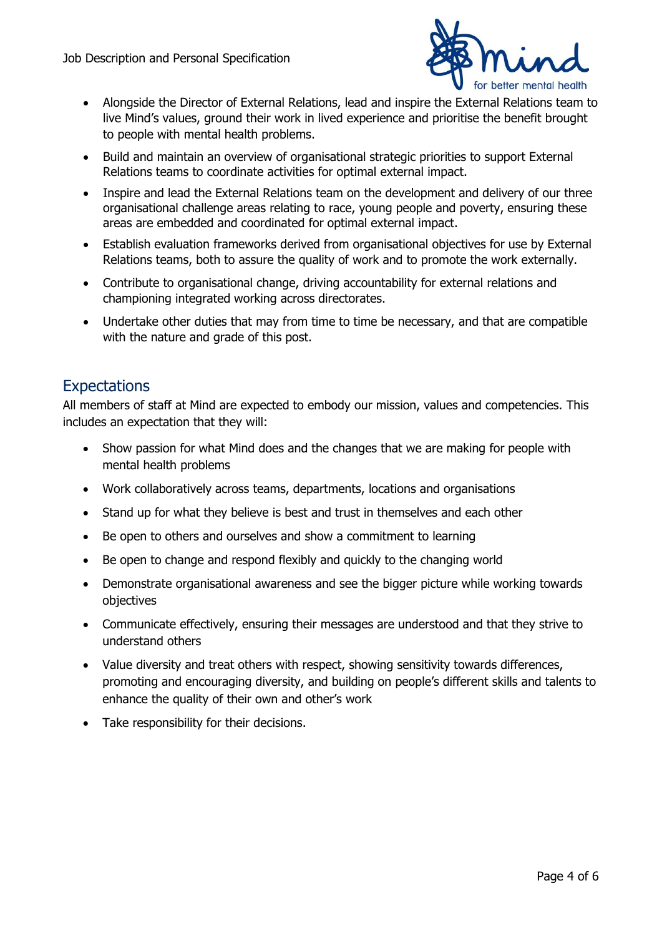

- Alongside the Director of External Relations, lead and inspire the External Relations team to live Mind's values, ground their work in lived experience and prioritise the benefit brought to people with mental health problems.
- Build and maintain an overview of organisational strategic priorities to support External Relations teams to coordinate activities for optimal external impact.
- Inspire and lead the External Relations team on the development and delivery of our three organisational challenge areas relating to race, young people and poverty, ensuring these areas are embedded and coordinated for optimal external impact.
- Establish evaluation frameworks derived from organisational objectives for use by External Relations teams, both to assure the quality of work and to promote the work externally.
- Contribute to organisational change, driving accountability for external relations and championing integrated working across directorates.
- Undertake other duties that may from time to time be necessary, and that are compatible with the nature and grade of this post.

## **Expectations**

All members of staff at Mind are expected to embody our mission, values and competencies. This includes an expectation that they will:

- Show passion for what Mind does and the changes that we are making for people with mental health problems
- Work collaboratively across teams, departments, locations and organisations
- Stand up for what they believe is best and trust in themselves and each other
- Be open to others and ourselves and show a commitment to learning
- Be open to change and respond flexibly and quickly to the changing world
- Demonstrate organisational awareness and see the bigger picture while working towards objectives
- Communicate effectively, ensuring their messages are understood and that they strive to understand others
- Value diversity and treat others with respect, showing sensitivity towards differences, promoting and encouraging diversity, and building on people's different skills and talents to enhance the quality of their own and other's work
- Take responsibility for their decisions.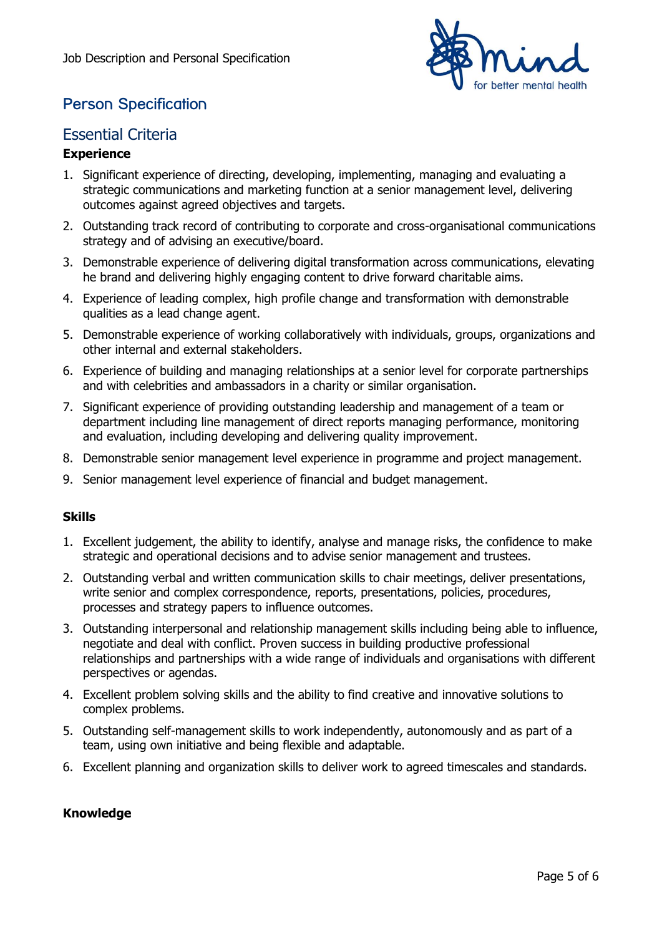

# **Person Specification**

## Essential Criteria

#### **Experience**

- 1. Significant experience of directing, developing, implementing, managing and evaluating a strategic communications and marketing function at a senior management level, delivering outcomes against agreed objectives and targets.
- 2. Outstanding track record of contributing to corporate and cross-organisational communications strategy and of advising an executive/board.
- 3. Demonstrable experience of delivering digital transformation across communications, elevating he brand and delivering highly engaging content to drive forward charitable aims.
- 4. Experience of leading complex, high profile change and transformation with demonstrable qualities as a lead change agent.
- 5. Demonstrable experience of working collaboratively with individuals, groups, organizations and other internal and external stakeholders.
- 6. Experience of building and managing relationships at a senior level for corporate partnerships and with celebrities and ambassadors in a charity or similar organisation.
- 7. Significant experience of providing outstanding leadership and management of a team or department including line management of direct reports managing performance, monitoring and evaluation, including developing and delivering quality improvement.
- 8. Demonstrable senior management level experience in programme and project management.
- 9. Senior management level experience of financial and budget management.

#### **Skills**

- 1. Excellent judgement, the ability to identify, analyse and manage risks, the confidence to make strategic and operational decisions and to advise senior management and trustees.
- 2. Outstanding verbal and written communication skills to chair meetings, deliver presentations, write senior and complex correspondence, reports, presentations, policies, procedures, processes and strategy papers to influence outcomes.
- 3. Outstanding interpersonal and relationship management skills including being able to influence, negotiate and deal with conflict. Proven success in building productive professional relationships and partnerships with a wide range of individuals and organisations with different perspectives or agendas.
- 4. Excellent problem solving skills and the ability to find creative and innovative solutions to complex problems.
- 5. Outstanding self-management skills to work independently, autonomously and as part of a team, using own initiative and being flexible and adaptable.
- 6. Excellent planning and organization skills to deliver work to agreed timescales and standards.

#### **Knowledge**